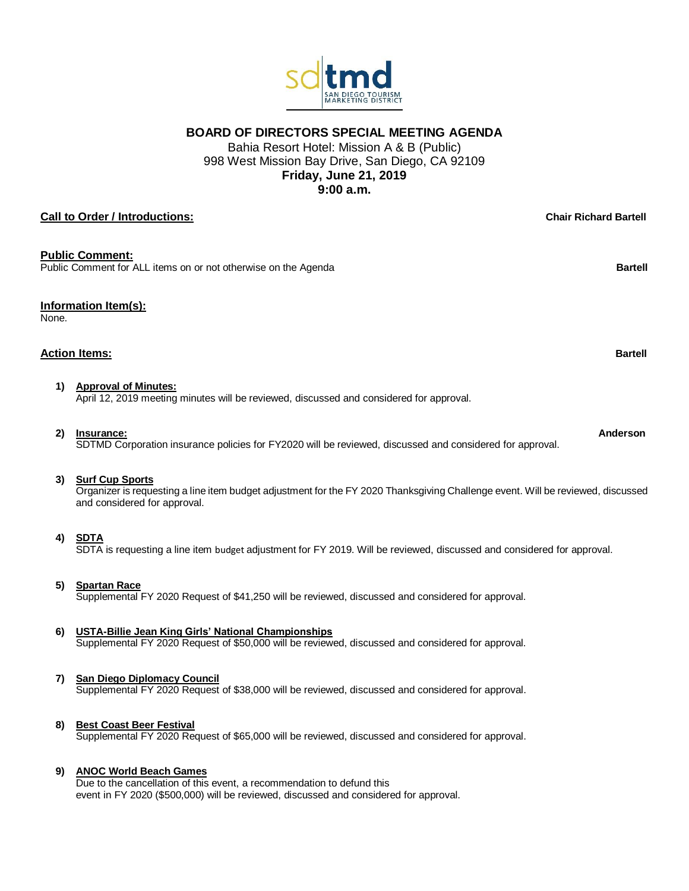**BOARD OF DIRECTORS SPECIAL MEETING AGENDA**

Bahia Resort Hotel: Mission A & B (Public) 998 West Mission Bay Drive, San Diego, CA 92109 **Friday, June 21, 2019 9:00 a.m.**

# **Call to Order / Introductions: Chair Richard Bartell**

## **Public Comment:**

Public Comment for ALL items on or not otherwise on the Agenda **Bartell Bartell Bartell** 

## **Information Item(s):**

None.

## **Action Items: Bartell**

**1) Approval of Minutes:**

April 12, 2019 meeting minutes will be reviewed, discussed and considered for approval.

**2) Insurance: Anderson**

SDTMD Corporation insurance policies for FY2020 will be reviewed, discussed and considered for approval.

## **3) Surf Cup Sports**

Organizer is requesting a line item budget adjustment for the FY 2020 Thanksgiving Challenge event. Will be reviewed, discussed and considered for approval.

## **4) SDTA**

SDTA is requesting a line item budget adjustment for FY 2019. Will be reviewed, discussed and considered for approval.

## **5) Spartan Race**

Supplemental FY 2020 Request of \$41,250 will be reviewed, discussed and considered for approval.

## **6) USTA-Billie Jean King Girls' National Championships**

Supplemental FY 2020 Request of \$50,000 will be reviewed, discussed and considered for approval.

## **7) San Diego Diplomacy Council**

Supplemental FY 2020 Request of \$38,000 will be reviewed, discussed and considered for approval.

## **8) Best Coast Beer Festival**

Supplemental FY 2020 Request of \$65,000 will be reviewed, discussed and considered for approval.

#### **9) ANOC World Beach Games**

Due to the cancellation of this event, a recommendation to defund this event in FY 2020 (\$500,000) will be reviewed, discussed and considered for approval.